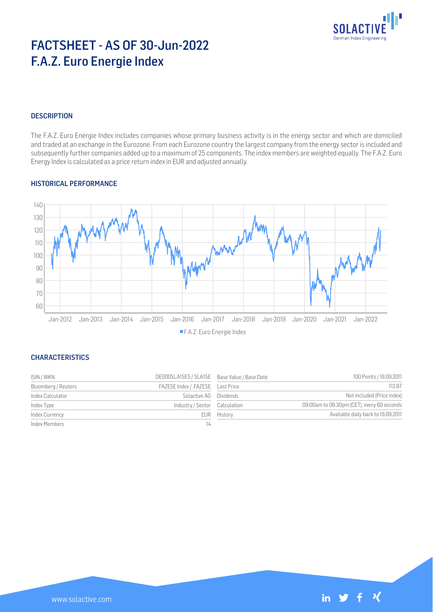

# FACTSHEET - AS OF 30-Jun-2022 F.A.Z. Euro Energie Index

# **DESCRIPTION**

The F.A.Z. Euro Energie Index includes companies whose primary business activity is in the energy sector and which are domiciled and traded at an exchange in the Eurozone. From each Eurozone country the largest company from the energy sector is included and subsequently further companies added up to a maximum of 25 components. The index members are weighted equally. The F.A.Z. Euro Energy Index is calculated as a price return index in EUR and adjusted annually.

# HISTORICAL PERFORMANCE



# **CHARACTERISTICS**

| ISIN / WKN          | DE000SLA1SE5 / SLA1SE Base Value / Base Date |             | 100 Points / 19.09.2011                    |
|---------------------|----------------------------------------------|-------------|--------------------------------------------|
| Bloomberg / Reuters | FAZESE Index / .FAZESE    Last Price         |             | 112.87                                     |
| Index Calculator    | Solactive AG Dividends                       |             | Not included (Price index)                 |
| Index Type          | Industry / Sector Calculation                |             | 09:00am to 06:30pm (CET), every 60 seconds |
| Index Currency      |                                              | EUR History | Available daily back to 19.09.2011         |
| Index Members       | 14                                           |             |                                            |

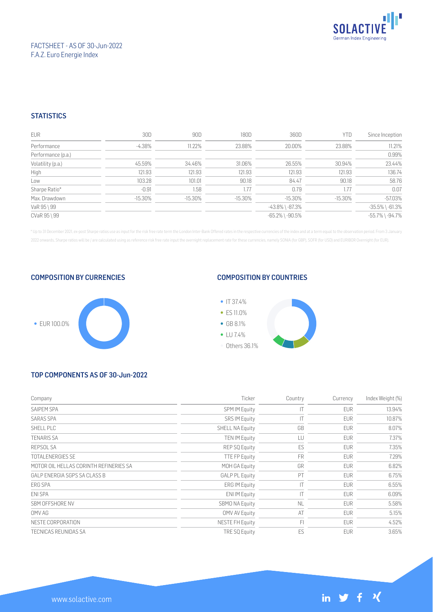

# FACTSHEET - AS OF 30-Jun-2022 F.A.Z. Euro Energie Index

# **STATISTICS**

| <b>EUR</b>         | 30D        | 90D        | 180D       | 360D                  | <b>YTD</b> | Since Inception       |
|--------------------|------------|------------|------------|-----------------------|------------|-----------------------|
| Performance        | $-4.38\%$  | 11.22%     | 23.88%     | 20.00%                | 23.88%     | 11.21%                |
| Performance (p.a.) |            |            |            |                       |            | 0.99%                 |
| Volatility (p.a.)  | 45.59%     | 34.46%     | 31.06%     | 26.55%                | 30.94%     | 23.44%                |
| High               | 121.93     | 121.93     | 121.93     | 121.93                | 121.93     | 136.74                |
| Low                | 103.28     | 101.01     | 90.18      | 84.47                 | 90.18      | 58.76                 |
| Sharpe Ratio*      | $-0.91$    | 1.58       | 1.77       | 0.79                  | 1.77       | 0.07                  |
| Max. Drawdown      | $-15.30\%$ | $-15.30\%$ | $-15.30\%$ | $-15.30\%$            | $-15.30\%$ | $-57.03%$             |
| VaR 95 \ 99        |            |            |            | $-43.8\%$ \ $-87.3\%$ |            | $-35.5\%$ \ $-61.3\%$ |
| CVaR 95 \ 99       |            |            |            | $-65.2\%$ \ $-90.5\%$ |            | $-55.7\%$ \ $-94.7\%$ |

\* Up to 31 December 2021, ex-post Sharpe ratios use as input for the risk free rate term the London Inter-Bank Offered rates in the respective currencies of the index and at a term equal to the observation period. From 3 J 2022 onwards, Sharpe ratios will be / are calculated using as reference risk free rate input the overnight replacement rate for these currencies, namely SONIA (for GBP), SOFR (for USD) and EURIBOR Overnight (for EUR).

#### COMPOSITION BY CURRENCIES



# COMPOSITION BY COUNTRIES



# TOP COMPONENTS AS OF 30-Jun-2022

| Company                                | Ticker                 | Country   | Currency   | Index Weight (%) |
|----------------------------------------|------------------------|-----------|------------|------------------|
| SAIPEM SPA                             | <b>SPM IM Equity</b>   |           | <b>EUR</b> | 13.94%           |
| <b>SARAS SPA</b>                       | <b>SRS IM Equity</b>   | IΤ        | <b>EUR</b> | 10.87%           |
| SHELL PLC                              | <b>SHELL NA Equity</b> | GB        | <b>EUR</b> | 8.07%            |
| <b>TENARIS SA</b>                      | <b>TEN IM Equity</b>   | LU        | <b>EUR</b> | 7.37%            |
| REPSOL SA                              | REP SQ Equity          | ES        | <b>EUR</b> | 7.35%            |
| <b>TOTALENERGIES SE</b>                | <b>TTE FP Equity</b>   | <b>FR</b> | <b>EUR</b> | 7.29%            |
| MOTOR OIL HELLAS CORINTH REFINERIES SA | MOH GA Equity          | GR        | <b>EUR</b> | 6.82%            |
| GALP ENERGIA SGPS SA CLASS B           | <b>GALP PL Equity</b>  | PT        | <b>EUR</b> | 6.75%            |
| ERG SPA                                | <b>ERG IM Equity</b>   | ΙT        | <b>EUR</b> | 6.55%            |
| ENI SPA                                | <b>ENIIM Equity</b>    | ТT        | <b>EUR</b> | 6.09%            |
| SBM OFFSHORE NV                        | <b>SBMO NA Equity</b>  | <b>NL</b> | <b>EUR</b> | 5.58%            |
| OMV AG                                 | OMV AV Equity          | AT        | <b>EUR</b> | 5.15%            |
| NESTE CORPORATION                      | <b>NESTE FH Equity</b> | FI        | <b>EUR</b> | 4.52%            |
| <b>TECNICAS REUNIDAS SA</b>            | <b>TRE SQ Equity</b>   | ES        | <b>EUR</b> | 3.65%            |